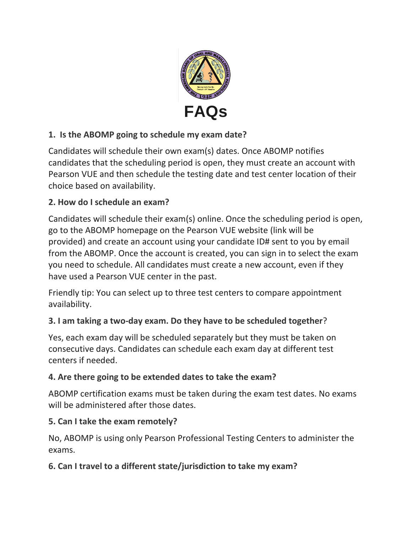

# **1. Is the ABOMP going to schedule my exam date?**

Candidates will schedule their own exam(s) dates. Once ABOMP notifies candidates that the scheduling period is open, they must create an account with Pearson VUE and then schedule the testing date and test center location of their choice based on availability.

### **2. How do I schedule an exam?**

Candidates will schedule their exam(s) online. Once the scheduling period is open, go to the ABOMP homepage on the Pearson VUE website (link will be provided) and create an account using your candidate ID# sent to you by email from the ABOMP. Once the account is created, you can sign in to select the exam you need to schedule. All candidates must create a new account, even if they have used a Pearson VUE center in the past.

Friendly tip: You can select up to three test centers to compare appointment availability.

### **3. I am taking a two-day exam. Do they have to be scheduled together**?

Yes, each exam day will be scheduled separately but they must be taken on consecutive days. Candidates can schedule each exam day at different test centers if needed.

#### **4. Are there going to be extended dates to take the exam?**

ABOMP certification exams must be taken during the exam test dates. No exams will be administered after those dates.

#### **5. Can I take the exam remotely?**

No, ABOMP is using only Pearson Professional Testing Centers to administer the exams.

#### **6. Can I travel to a different state/jurisdiction to take my exam?**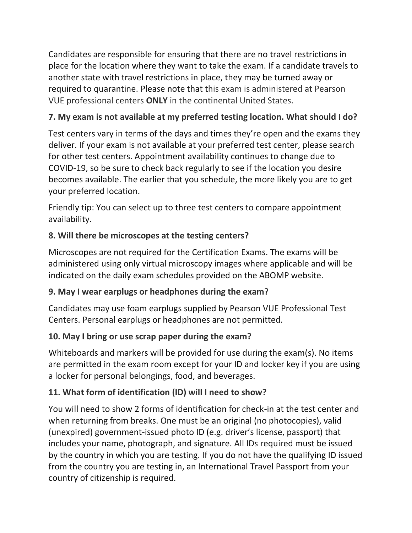Candidates are responsible for ensuring that there are no travel restrictions in place for the location where they want to take the exam. If a candidate travels to another state with travel restrictions in place, they may be turned away or required to quarantine. Please note that this exam is administered at Pearson VUE professional centers **ONLY** in the continental United States.

## **7. My exam is not available at my preferred testing location. What should I do?**

Test centers vary in terms of the days and times they're open and the exams they deliver. If your exam is not available at your preferred test center, please search for other test centers. Appointment availability continues to change due to COVID-19, so be sure to check back regularly to see if the location you desire becomes available. The earlier that you schedule, the more likely you are to get your preferred location.

Friendly tip: You can select up to three test centers to compare appointment availability.

### **8. Will there be microscopes at the testing centers?**

Microscopes are not required for the Certification Exams. The exams will be administered using only virtual microscopy images where applicable and will be indicated on the daily exam schedules provided on the ABOMP website.

### **9. May I wear earplugs or headphones during the exam?**

Candidates may use foam earplugs supplied by Pearson VUE Professional Test Centers. Personal earplugs or headphones are not permitted.

### **10. May I bring or use scrap paper during the exam?**

Whiteboards and markers will be provided for use during the exam(s). No items are permitted in the exam room except for your ID and locker key if you are using a locker for personal belongings, food, and beverages.

### **11. What form of identification (ID) will I need to show?**

You will need to show 2 forms of identification for check-in at the test center and when returning from breaks. One must be an original (no photocopies), valid (unexpired) government-issued photo ID (e.g. driver's license, passport) that includes your name, photograph, and signature. All IDs required must be issued by the country in which you are testing. If you do not have the qualifying ID issued from the country you are testing in, an International Travel Passport from your country of citizenship is required.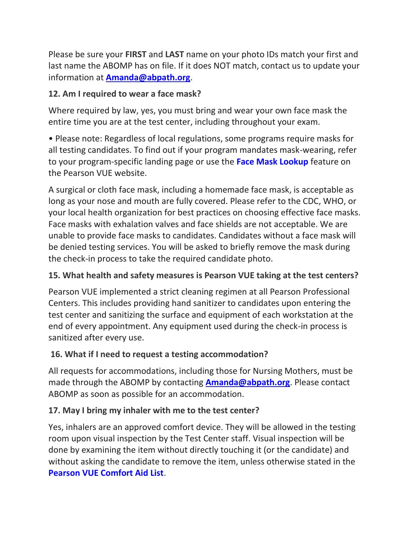Please be sure your **FIRST** and **LAST** name on your photo IDs match your first and last name the ABOMP has on file. If it does NOT match, contact us to update your information at **[Amanda@abpath.org](mailto:Amanda@abpath.org)**.

#### **12. Am I required to wear a face mask?**

Where required by law, yes, you must bring and wear your own face mask the entire time you are at the test center, including throughout your exam.

• Please note: Regardless of local regulations, some programs require masks for all testing candidates. To find out if your program mandates mask-wearing, refer to your program-specific landing page or use the **[Face Mask Lookup](https://home.pearsonvue.com/Standalone-pages/Coronavirus-update.aspx#lookup)** feature on the Pearson VUE website.

A surgical or cloth face mask, including a homemade face mask, is acceptable as long as your nose and mouth are fully covered. Please refer to the CDC, WHO, or your local health organization for best practices on choosing effective face masks. Face masks with exhalation valves and face shields are not acceptable. We are unable to provide face masks to candidates. Candidates without a face mask will be denied testing services. You will be asked to briefly remove the mask during the check-in process to take the required candidate photo.

### **15. What health and safety measures is Pearson VUE taking at the test centers?**

Pearson VUE implemented a strict cleaning regimen at all Pearson Professional Centers. This includes providing hand sanitizer to candidates upon entering the test center and sanitizing the surface and equipment of each workstation at the end of every appointment. Any equipment used during the check-in process is sanitized after every use.

### **16. What if I need to request a testing accommodation?**

All requests for accommodations, including those for Nursing Mothers, must be made through the ABOMP by contacting **[Amanda@abpath.org](mailto:Amanda@abpath.org)**. Please contact ABOMP as soon as possible for an accommodation.

#### **17. May I bring my inhaler with me to the test center?**

Yes, inhalers are an approved comfort device. They will be allowed in the testing room upon visual inspection by the Test Center staff. Visual inspection will be done by examining the item without directly touching it (or the candidate) and without asking the candidate to remove the item, unless otherwise stated in the **[Pearson VUE Comfort Aid List](https://home.pearsonvue.com/Test-takers/Accommodations/Pearson-VUE-Comfort-Aid-List-PDF.aspx)**.